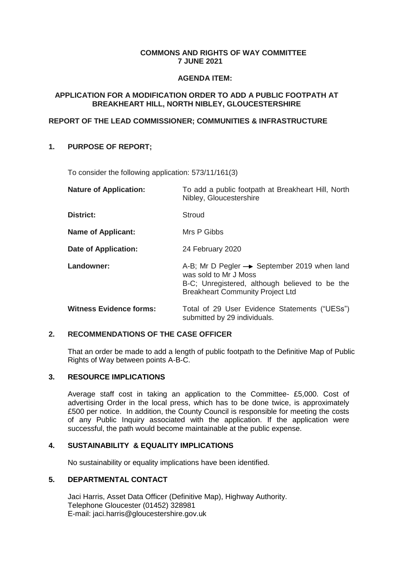## **COMMONS AND RIGHTS OF WAY COMMITTEE 7 JUNE 2021**

#### **AGENDA ITEM:**

## **APPLICATION FOR A MODIFICATION ORDER TO ADD A PUBLIC FOOTPATH AT BREAKHEART HILL, NORTH NIBLEY, GLOUCESTERSHIRE**

## **REPORT OF THE LEAD COMMISSIONER; COMMUNITIES & INFRASTRUCTURE**

# **1. PURPOSE OF REPORT;**

To consider the following application: 573/11/161(3)

| <b>Nature of Application:</b>  | To add a public footpath at Breakheart Hill, North<br>Nibley, Gloucestershire                                                                                                 |
|--------------------------------|-------------------------------------------------------------------------------------------------------------------------------------------------------------------------------|
| <b>District:</b>               | Stroud                                                                                                                                                                        |
| <b>Name of Applicant:</b>      | Mrs P Gibbs                                                                                                                                                                   |
| <b>Date of Application:</b>    | 24 February 2020                                                                                                                                                              |
| Landowner:                     | A-B; Mr D Pegler $\rightarrow$ September 2019 when land<br>was sold to Mr J Moss<br>B-C; Unregistered, although believed to be the<br><b>Breakheart Community Project Ltd</b> |
| <b>Witness Evidence forms:</b> | Total of 29 User Evidence Statements ("UESs")<br>submitted by 29 individuals.                                                                                                 |

## **2. RECOMMENDATIONS OF THE CASE OFFICER**

That an order be made to add a length of public footpath to the Definitive Map of Public Rights of Way between points A-B-C.

## **3. RESOURCE IMPLICATIONS**

Average staff cost in taking an application to the Committee- £5,000. Cost of advertising Order in the local press, which has to be done twice, is approximately £500 per notice. In addition, the County Council is responsible for meeting the costs of any Public Inquiry associated with the application. If the application were successful, the path would become maintainable at the public expense.

## **4. SUSTAINABILITY & EQUALITY IMPLICATIONS**

No sustainability or equality implications have been identified.

## **5. DEPARTMENTAL CONTACT**

Jaci Harris, Asset Data Officer (Definitive Map), Highway Authority. Telephone Gloucester (01452) 328981 E-mail: jaci.harris@gloucestershire.gov.uk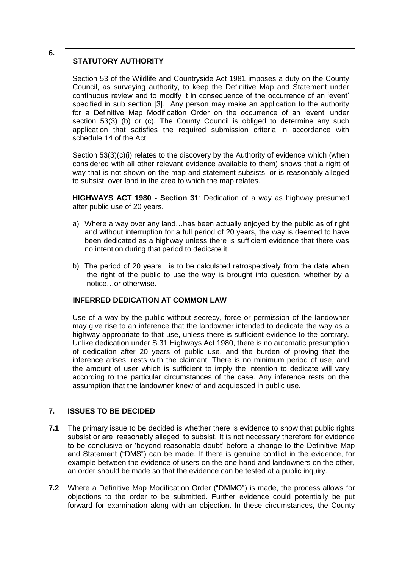# **STATUTORY AUTHORITY**

Section 53 of the Wildlife and Countryside Act 1981 imposes a duty on the County Council, as surveying authority, to keep the Definitive Map and Statement under continuous review and to modify it in consequence of the occurrence of an 'event' specified in sub section [3]. Any person may make an application to the authority for a Definitive Map Modification Order on the occurrence of an 'event' under section 53(3) (b) or (c). The County Council is obliged to determine any such application that satisfies the required submission criteria in accordance with schedule 14 of the Act.

Section 53(3)(c)(i) relates to the discovery by the Authority of evidence which (when considered with all other relevant evidence available to them) shows that a right of way that is not shown on the map and statement subsists, or is reasonably alleged to subsist, over land in the area to which the map relates.

**HIGHWAYS ACT 1980 - Section 31**: Dedication of a way as highway presumed after public use of 20 years.

- a) Where a way over any land…has been actually enjoyed by the public as of right and without interruption for a full period of 20 years, the way is deemed to have been dedicated as a highway unless there is sufficient evidence that there was no intention during that period to dedicate it.
- b) The period of 20 years…is to be calculated retrospectively from the date when the right of the public to use the way is brought into question, whether by a notice…or otherwise.

# **INFERRED DEDICATION AT COMMON LAW**

Use of a way by the public without secrecy, force or permission of the landowner may give rise to an inference that the landowner intended to dedicate the way as a highway appropriate to that use, unless there is sufficient evidence to the contrary. Unlike dedication under S.31 Highways Act 1980, there is no automatic presumption of dedication after 20 years of public use, and the burden of proving that the inference arises, rests with the claimant. There is no minimum period of use, and the amount of user which is sufficient to imply the intention to dedicate will vary according to the particular circumstances of the case. Any inference rests on the assumption that the landowner knew of and acquiesced in public use.

## **7. ISSUES TO BE DECIDED**

- **7.1** The primary issue to be decided is whether there is evidence to show that public rights subsist or are 'reasonably alleged' to subsist. It is not necessary therefore for evidence to be conclusive or 'beyond reasonable doubt' before a change to the Definitive Map and Statement ("DMS") can be made. If there is genuine conflict in the evidence, for example between the evidence of users on the one hand and landowners on the other, an order should be made so that the evidence can be tested at a public inquiry.
- **7.2** Where a Definitive Map Modification Order ("DMMO") is made, the process allows for objections to the order to be submitted. Further evidence could potentially be put forward for examination along with an objection. In these circumstances, the County

**6.**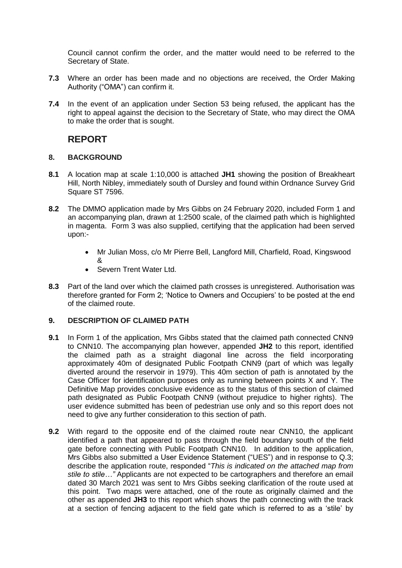Council cannot confirm the order, and the matter would need to be referred to the Secretary of State.

- **7.3** Where an order has been made and no objections are received, the Order Making Authority ("OMA") can confirm it.
- **7.4** In the event of an application under Section 53 being refused, the applicant has the right to appeal against the decision to the Secretary of State, who may direct the OMA to make the order that is sought.

# **REPORT**

# **8. BACKGROUND**

- **8.1** A location map at scale 1:10,000 is attached **JH1** showing the position of Breakheart Hill, North Nibley, immediately south of Dursley and found within Ordnance Survey Grid Square ST 7596.
- **8.2** The DMMO application made by Mrs Gibbs on 24 February 2020, included Form 1 and an accompanying plan, drawn at 1:2500 scale, of the claimed path which is highlighted in magenta. Form 3 was also supplied, certifying that the application had been served upon:-
	- Mr Julian Moss, c/o Mr Pierre Bell, Langford Mill, Charfield, Road, Kingswood &
	- Severn Trent Water Ltd.
- **8.3** Part of the land over which the claimed path crosses is unregistered. Authorisation was therefore granted for Form 2; 'Notice to Owners and Occupiers' to be posted at the end of the claimed route.

## **9. DESCRIPTION OF CLAIMED PATH**

- **9.1** In Form 1 of the application, Mrs Gibbs stated that the claimed path connected CNN9 to CNN10. The accompanying plan however, appended **JH2** to this report, identified the claimed path as a straight diagonal line across the field incorporating approximately 40m of designated Public Footpath CNN9 (part of which was legally diverted around the reservoir in 1979). This 40m section of path is annotated by the Case Officer for identification purposes only as running between points X and Y. The Definitive Map provides conclusive evidence as to the status of this section of claimed path designated as Public Footpath CNN9 (without prejudice to higher rights). The user evidence submitted has been of pedestrian use only and so this report does not need to give any further consideration to this section of path.
- **9.2** With regard to the opposite end of the claimed route near CNN10, the applicant identified a path that appeared to pass through the field boundary south of the field gate before connecting with Public Footpath CNN10. In addition to the application, Mrs Gibbs also submitted a User Evidence Statement ("UES") and in response to Q.3; describe the application route, responded "*This is indicated on the attached map from stile to stile…"* Applicants are not expected to be cartographers and therefore an email dated 30 March 2021 was sent to Mrs Gibbs seeking clarification of the route used at this point. Two maps were attached, one of the route as originally claimed and the other as appended **JH3** to this report which shows the path connecting with the track at a section of fencing adjacent to the field gate which is referred to as a 'stile' by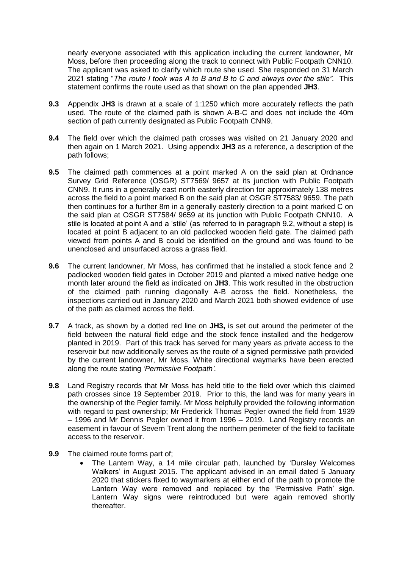nearly everyone associated with this application including the current landowner, Mr Moss, before then proceeding along the track to connect with Public Footpath CNN10. The applicant was asked to clarify which route she used. She responded on 31 March 2021 stating "*The route I took was A to B and B to C and always over the stile".* This statement confirms the route used as that shown on the plan appended **JH3**.

- **9.3** Appendix **JH3** is drawn at a scale of 1:1250 which more accurately reflects the path used. The route of the claimed path is shown A-B-C and does not include the 40m section of path currently designated as Public Footpath CNN9.
- **9.4** The field over which the claimed path crosses was visited on 21 January 2020 and then again on 1 March 2021. Using appendix **JH3** as a reference, a description of the path follows;
- **9.5** The claimed path commences at a point marked A on the said plan at Ordnance Survey Grid Reference (OSGR) ST7569/ 9657 at its junction with Public Footpath CNN9. It runs in a generally east north easterly direction for approximately 138 metres across the field to a point marked B on the said plan at OSGR ST7583/ 9659. The path then continues for a further 8m in a generally easterly direction to a point marked C on the said plan at OSGR ST7584/ 9659 at its junction with Public Footpath CNN10. A stile is located at point A and a 'stile' (as referred to in paragraph 9.2, without a step) is located at point B adjacent to an old padlocked wooden field gate. The claimed path viewed from points A and B could be identified on the ground and was found to be unenclosed and unsurfaced across a grass field.
- **9.6** The current landowner, Mr Moss, has confirmed that he installed a stock fence and 2 padlocked wooden field gates in October 2019 and planted a mixed native hedge one month later around the field as indicated on **JH3**. This work resulted in the obstruction of the claimed path running diagonally A-B across the field. Nonetheless, the inspections carried out in January 2020 and March 2021 both showed evidence of use of the path as claimed across the field.
- **9.7** A track, as shown by a dotted red line on **JH3,** is set out around the perimeter of the field between the natural field edge and the stock fence installed and the hedgerow planted in 2019. Part of this track has served for many years as private access to the reservoir but now additionally serves as the route of a signed permissive path provided by the current landowner, Mr Moss. White directional waymarks have been erected along the route stating *'Permissive Footpath'.*
- **9.8** Land Registry records that Mr Moss has held title to the field over which this claimed path crosses since 19 September 2019. Prior to this, the land was for many years in the ownership of the Pegler family. Mr Moss helpfully provided the following information with regard to past ownership; Mr Frederick Thomas Pegler owned the field from 1939 – 1996 and Mr Dennis Pegler owned it from 1996 – 2019. Land Registry records an easement in favour of Severn Trent along the northern perimeter of the field to facilitate access to the reservoir.
- **9.9** The claimed route forms part of;
	- The Lantern Way, a 14 mile circular path, launched by 'Dursley Welcomes Walkers' in August 2015. The applicant advised in an email dated 5 January 2020 that stickers fixed to waymarkers at either end of the path to promote the Lantern Way were removed and replaced by the 'Permissive Path' sign. Lantern Way signs were reintroduced but were again removed shortly thereafter.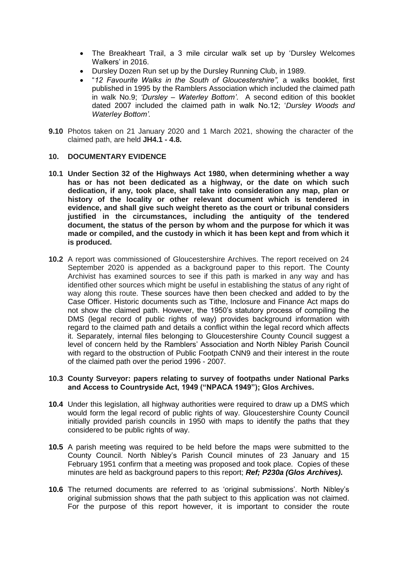- The Breakheart Trail, a 3 mile circular walk set up by 'Dursley Welcomes Walkers' in 2016.
- Dursley Dozen Run set up by the Dursley Running Club, in 1989.
- "*12 Favourite Walks in the South of Gloucestershire",* a walks booklet, first published in 1995 by the Ramblers Association which included the claimed path in walk No.9; *'Dursley – Waterley Bottom'*. A second edition of this booklet dated 2007 included the claimed path in walk No.12; '*Dursley Woods and Waterley Bottom'.*
- **9.10** Photos taken on 21 January 2020 and 1 March 2021, showing the character of the claimed path, are held **JH4.1 - 4.8.**

#### **10. DOCUMENTARY EVIDENCE**

- **10.1 Under Section 32 of the Highways Act 1980, when determining whether a way has or has not been dedicated as a highway, or the date on which such dedication, if any, took place, shall take into consideration any map, plan or history of the locality or other relevant document which is tendered in evidence, and shall give such weight thereto as the court or tribunal considers justified in the circumstances, including the antiquity of the tendered document, the status of the person by whom and the purpose for which it was made or compiled, and the custody in which it has been kept and from which it is produced.**
- **10.2** A report was commissioned of Gloucestershire Archives. The report received on 24 September 2020 is appended as a background paper to this report. The County Archivist has examined sources to see if this path is marked in any way and has identified other sources which might be useful in establishing the status of any right of way along this route. These sources have then been checked and added to by the Case Officer. Historic documents such as Tithe, Inclosure and Finance Act maps do not show the claimed path. However, the 1950's statutory process of compiling the DMS (legal record of public rights of way) provides background information with regard to the claimed path and details a conflict within the legal record which affects it. Separately, internal files belonging to Gloucestershire County Council suggest a level of concern held by the Ramblers' Association and North Nibley Parish Council with regard to the obstruction of Public Footpath CNN9 and their interest in the route of the claimed path over the period 1996 - 2007.

#### **10.3 County Surveyor: papers relating to survey of footpaths under National Parks and Access to Countryside Act, 1949 ("NPACA 1949"); Glos Archives.**

- **10.4** Under this legislation, all highway authorities were required to draw up a DMS which would form the legal record of public rights of way. Gloucestershire County Council initially provided parish councils in 1950 with maps to identify the paths that they considered to be public rights of way.
- **10.5** A parish meeting was required to be held before the maps were submitted to the County Council. North Nibley's Parish Council minutes of 23 January and 15 February 1951 confirm that a meeting was proposed and took place. Copies of these minutes are held as background papers to this report; *Ref; P230a (Glos Archives)***.**
- **10.6** The returned documents are referred to as 'original submissions'. North Nibley's original submission shows that the path subject to this application was not claimed. For the purpose of this report however, it is important to consider the route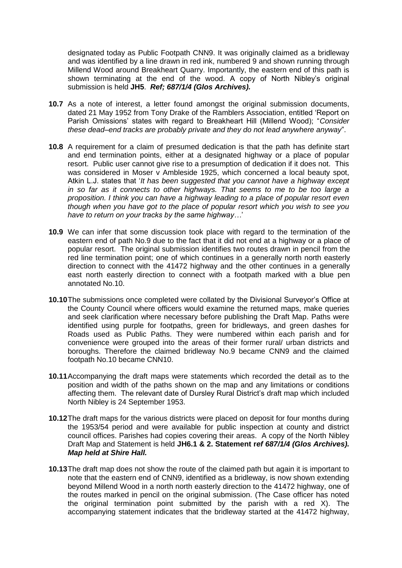designated today as Public Footpath CNN9. It was originally claimed as a bridleway and was identified by a line drawn in red ink, numbered 9 and shown running through Millend Wood around Breakheart Quarry. Importantly, the eastern end of this path is shown terminating at the end of the wood. A copy of North Nibley's original submission is held **JH5**. *Ref; 687/1/4 (Glos Archives).*

- **10.7** As a note of interest, a letter found amongst the original submission documents, dated 21 May 1952 from Tony Drake of the Ramblers Association, entitled 'Report on Parish Omissions' states with regard to Breakheart Hill (Millend Wood); "*Consider these dead–end tracks are probably private and they do not lead anywhere anyway*".
- **10.8** A requirement for a claim of presumed dedication is that the path has definite start and end termination points, either at a designated highway or a place of popular resort. Public user cannot give rise to a presumption of dedication if it does not. This was considered in Moser v Ambleside 1925, which concerned a local beauty spot, Atkin L.J. states that '*It has been suggested that you cannot have a highway except in so far as it connects to other highways. That seems to me to be too large a proposition. I think you can have a highway leading to a place of popular resort even though when you have got to the place of popular resort which you wish to see you have to return on your tracks by the same highway…*'
- **10.9** We can infer that some discussion took place with regard to the termination of the eastern end of path No.9 due to the fact that it did not end at a highway or a place of popular resort. The original submission identifies two routes drawn in pencil from the red line termination point; one of which continues in a generally north north easterly direction to connect with the 41472 highway and the other continues in a generally east north easterly direction to connect with a footpath marked with a blue pen annotated No.10.
- **10.10**The submissions once completed were collated by the Divisional Surveyor's Office at the County Council where officers would examine the returned maps, make queries and seek clarification where necessary before publishing the Draft Map. Paths were identified using purple for footpaths, green for bridleways, and green dashes for Roads used as Public Paths. They were numbered within each parish and for convenience were grouped into the areas of their former rural/ urban districts and boroughs. Therefore the claimed bridleway No.9 became CNN9 and the claimed footpath No.10 became CNN10.
- **10.11**Accompanying the draft maps were statements which recorded the detail as to the position and width of the paths shown on the map and any limitations or conditions affecting them. The relevant date of Dursley Rural District's draft map which included North Nibley is 24 September 1953.
- **10.12**The draft maps for the various districts were placed on deposit for four months during the 1953/54 period and were available for public inspection at county and district council offices. Parishes had copies covering their areas. A copy of the North Nibley Draft Map and Statement is held **JH6.1 & 2. Statement r***ef 687/1/4 (Glos Archives). Map held at Shire Hall.*
- **10.13**The draft map does not show the route of the claimed path but again it is important to note that the eastern end of CNN9, identified as a bridleway, is now shown extending beyond Millend Wood in a north north easterly direction to the 41472 highway, one of the routes marked in pencil on the original submission. (The Case officer has noted the original termination point submitted by the parish with a red X). The accompanying statement indicates that the bridleway started at the 41472 highway,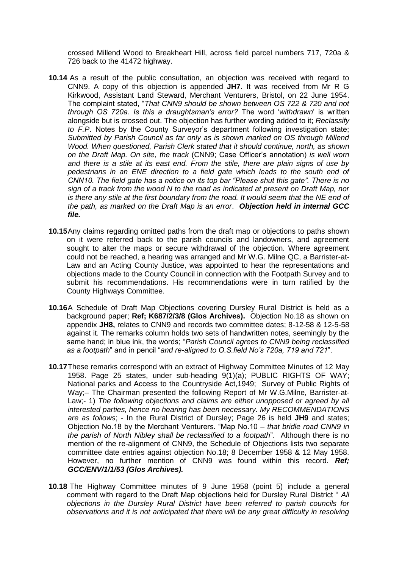crossed Millend Wood to Breakheart Hill, across field parcel numbers 717, 720a & 726 back to the 41472 highway.

- **10.14** As a result of the public consultation, an objection was received with regard to CNN9. A copy of this objection is appended **JH7**. It was received from Mr R G Kirkwood, Assistant Land Steward, Merchant Venturers, Bristol, on 22 June 1954. The complaint stated, "*That CNN9 should be shown between OS 722 & 720 and not through OS 720a. Is this a draughtsman's error?* The word '*withdrawn*' is written alongside but is crossed out. The objection has further wording added to it; *Reclassify to F.P*. Notes by the County Surveyor's department following investigation state; *Submitted by Parish Council as far only as is shown marked on OS through Millend Wood. When questioned, Parish Clerk stated that it should continue, north, as shown on the Draft Map. On site, the track* (CNN9; Case Officer's annotation) *is well worn and there is a stile at its east end. From the stile, there are plain signs of use by pedestrians in an ENE direction to a field gate which leads to the south end of CNN10. The field gate has a notice on its top bar "Please shut this gate". There is no sign of a track from the wood N to the road as indicated at present on Draft Map, nor*  is there any stile at the first boundary from the road. It would seem that the NE end of *the path, as marked on the Draft Map is an error*. *Objection held in internal GCC file.*
- **10.15**Any claims regarding omitted paths from the draft map or objections to paths shown on it were referred back to the parish councils and landowners, and agreement sought to alter the maps or secure withdrawal of the objection. Where agreement could not be reached, a hearing was arranged and Mr W.G. Milne QC, a Barrister-at-Law and an Acting County Justice, was appointed to hear the representations and objections made to the County Council in connection with the Footpath Survey and to submit his recommendations. His recommendations were in turn ratified by the County Highways Committee.
- **10.16**A Schedule of Draft Map Objections covering Dursley Rural District is held as a background paper; **Ref; K687/2/3/8 (Glos Archives).** Objection No.18 as shown on appendix **JH8,** relates to CNN9 and records two committee dates; 8-12-58 & 12-5-58 against it. The remarks column holds two sets of handwritten notes, seemingly by the same hand; in blue ink, the words; "*Parish Council agrees to CNN9 being reclassified as a footpath*" and in pencil "*and re-aligned to O.S.field No's 720a, 719 and 721*".
- **10.17**These remarks correspond with an extract of Highway Committee Minutes of 12 May 1958. Page 25 states, under sub-heading 9(1)(a); PUBLIC RIGHTS OF WAY; National parks and Access to the Countryside Act,1949; Survey of Public Rights of Way;– The Chairman presented the following Report of Mr W.G.Milne, Barrister-at-Law;- 1) The following objections and claims are either unopposed or agreed by all *interested parties, hence no hearing has been necessary. My RECOMMENDATIONS are as follows*; - In the Rural District of Dursley; Page 26 is held **JH9** and states; Objection No.18 by the Merchant Venturers. "Map No.10 – *that bridle road CNN9 in the parish of North Nibley shall be reclassified to a footpath*". Although there is no mention of the re-alignment of CNN9, the Schedule of Objections lists two separate committee date entries against objection No.18; 8 December 1958 & 12 May 1958. However, no further mention of CNN9 was found within this record. *Ref; GCC/ENV/1/1/53 (Glos Archives).*
- **10.18** The Highway Committee minutes of 9 June 1958 (point 5) include a general comment with regard to the Draft Map objections held for Dursley Rural District " *All objections in the Dursley Rural District have been referred to parish councils for observations and it is not anticipated that there will be any great difficulty in resolving*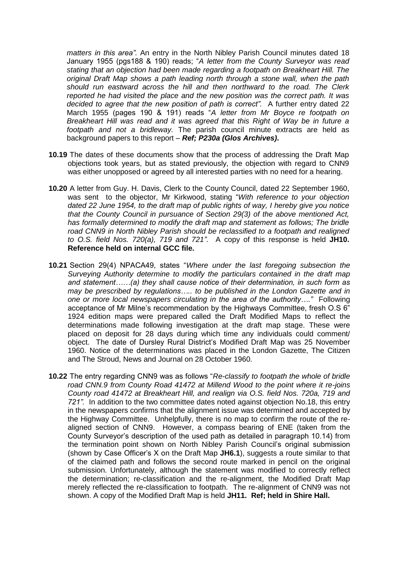*matters in this area".* An entry in the North Nibley Parish Council minutes dated 18 January 1955 (pgs188 & 190) reads; "*A letter from the County Surveyor was read stating that an objection had been made regarding a footpath on Breakheart Hill. The original Draft Map shows a path leading north through a stone wall, when the path should run eastward across the hill and then northward to the road. The Clerk reported he had visited the place and the new position was the correct path. It was decided to agree that the new position of path is correct".* A further entry dated 22 March 1955 (pages 190 & 191) reads "*A letter from Mr Boyce re footpath on Breakheart Hill was read and it was agreed that this Right of Way be in future a footpath and not a bridleway.* The parish council minute extracts are held as background papers to this report – *Ref; P230a (Glos Archives)***.**

- **10.19** The dates of these documents show that the process of addressing the Draft Map objections took years, but as stated previously, the objection with regard to CNN9 was either unopposed or agreed by all interested parties with no need for a hearing.
- **10.20** A letter from Guy. H. Davis, Clerk to the County Council, dated 22 September 1960, was sent to the objector, Mr Kirkwood, stating "*With reference to your objection dated 22 June 1954, to the draft map of public rights of way, I hereby give you notice that the County Council in pursuance of Section 29(3) of the above mentioned Act, has formally determined to modify the draft map and statement as follows; The bridle road CNN9 in North Nibley Parish should be reclassified to a footpath and realigned to O.S. field Nos. 720(a), 719 and 721"*. A copy of this response is held **JH10. Reference held on internal GCC file.**
- **10.21** Section 29(4) NPACA49, states "*Where under the last foregoing subsection the Surveying Authority determine to modify the particulars contained in the draft map and statement……(a) they shall cause notice of their determination, in such form as may be prescribed by regulations….. to be published in the London Gazette and in one or more local newspapers circulating in the area of the authority…."* Following acceptance of Mr Milne's recommendation by the Highways Committee, fresh O.S 6" 1924 edition maps were prepared called the Draft Modified Maps to reflect the determinations made following investigation at the draft map stage. These were placed on deposit for 28 days during which time any individuals could comment/ object. The date of Dursley Rural District's Modified Draft Map was 25 November 1960. Notice of the determinations was placed in the London Gazette, The Citizen and The Stroud, News and Journal on 28 October 1960.
- **10.22** The entry regarding CNN9 was as follows "*Re-classify to footpath the whole of bridle road CNN.9 from County Road 41472 at Millend Wood to the point where it re-joins County road 41472 at Breakheart Hill, and realign via O.S. field Nos. 720a, 719 and 721".* In addition to the two committee dates noted against objection No.18, this entry in the newspapers confirms that the alignment issue was determined and accepted by the Highway Committee. Unhelpfully, there is no map to confirm the route of the realigned section of CNN9. However, a compass bearing of ENE (taken from the County Surveyor's description of the used path as detailed in paragraph 10.14) from the termination point shown on North Nibley Parish Council's original submission (shown by Case Officer's X on the Draft Map **JH6.1**), suggests a route similar to that of the claimed path and follows the second route marked in pencil on the original submission. Unfortunately, although the statement was modified to correctly reflect the determination; re-classification and the re-alignment, the Modified Draft Map merely reflected the re-classification to footpath. The re-alignment of CNN9 was not shown. A copy of the Modified Draft Map is held **JH11. Ref; held in Shire Hall.**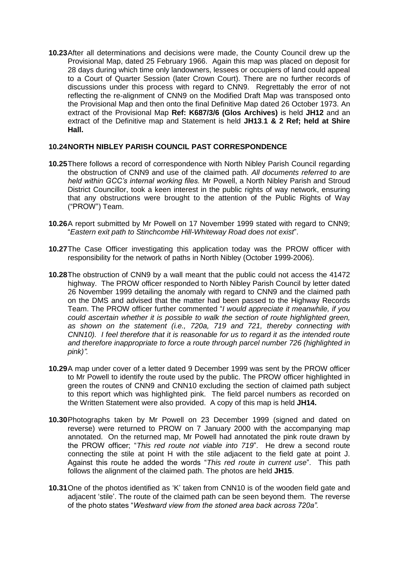**10.23**After all determinations and decisions were made, the County Council drew up the Provisional Map, dated 25 February 1966. Again this map was placed on deposit for 28 days during which time only landowners, lessees or occupiers of land could appeal to a Court of Quarter Session (later Crown Court). There are no further records of discussions under this process with regard to CNN9. Regrettably the error of not reflecting the re-alignment of CNN9 on the Modified Draft Map was transposed onto the Provisional Map and then onto the final Definitive Map dated 26 October 1973. An extract of the Provisional Map **Ref: K687/3/6 (Glos Archives)** is held **JH12** and an extract of the Definitive map and Statement is held **JH13**.**1 & 2 Ref; held at Shire Hall.**

## **10.24NORTH NIBLEY PARISH COUNCIL PAST CORRESPONDENCE**

- **10.25**There follows a record of correspondence with North Nibley Parish Council regarding the obstruction of CNN9 and use of the claimed path. *All documents referred to are held within GCC's internal working files.* Mr Powell, a North Nibley Parish and Stroud District Councillor, took a keen interest in the public rights of way network, ensuring that any obstructions were brought to the attention of the Public Rights of Way ("PROW") Team.
- **10.26**A report submitted by Mr Powell on 17 November 1999 stated with regard to CNN9; "*Eastern exit path to Stinchcombe Hill-Whiteway Road does not exist*".
- **10.27**The Case Officer investigating this application today was the PROW officer with responsibility for the network of paths in North Nibley (October 1999-2006).
- **10.28**The obstruction of CNN9 by a wall meant that the public could not access the 41472 highway. The PROW officer responded to North Nibley Parish Council by letter dated 26 November 1999 detailing the anomaly with regard to CNN9 and the claimed path on the DMS and advised that the matter had been passed to the Highway Records Team. The PROW officer further commented "*I would appreciate it meanwhile, if you could ascertain whether it is possible to walk the section of route highlighted green, as shown on the statement (i.e., 720a, 719 and 721, thereby connecting with CNN10). I feel therefore that it is reasonable for us to regard it as the intended route and therefore inappropriate to force a route through parcel number 726 (highlighted in pink)".*
- **10.29**A map under cover of a letter dated 9 December 1999 was sent by the PROW officer to Mr Powell to identify the route used by the public. The PROW officer highlighted in green the routes of CNN9 and CNN10 excluding the section of claimed path subject to this report which was highlighted pink. The field parcel numbers as recorded on the Written Statement were also provided. A copy of this map is held **JH14.**
- **10.30**Photographs taken by Mr Powell on 23 December 1999 (signed and dated on reverse) were returned to PROW on 7 January 2000 with the accompanying map annotated. On the returned map, Mr Powell had annotated the pink route drawn by the PROW officer; "*This red route not viable into 719*". He drew a second route connecting the stile at point H with the stile adjacent to the field gate at point J. Against this route he added the words "*This red route in current use*". This path follows the alignment of the claimed path. The photos are held **JH15**.
- **10.31** One of the photos identified as 'K' taken from CNN10 is of the wooden field gate and adjacent 'stile'. The route of the claimed path can be seen beyond them. The reverse of the photo states "*Westward view from the stoned area back across 720a".*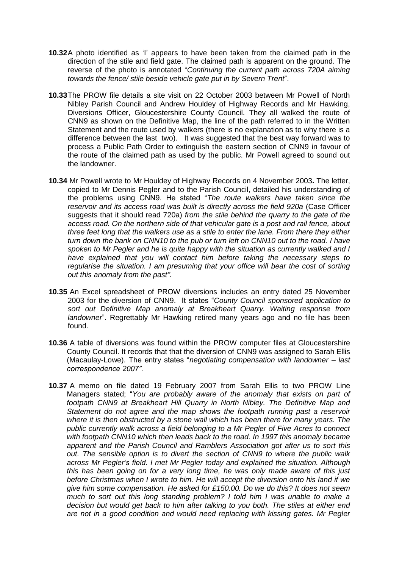- **10.32**A photo identified as 'I' appears to have been taken from the claimed path in the direction of the stile and field gate. The claimed path is apparent on the ground. The reverse of the photo is annotated "*Continuing the current path across 720A aiming towards the fence/ stile beside vehicle gate put in by Severn Trent*".
- **10.33**The PROW file details a site visit on 22 October 2003 between Mr Powell of North Nibley Parish Council and Andrew Houldey of Highway Records and Mr Hawking, Diversions Officer, Gloucestershire County Council. They all walked the route of CNN9 as shown on the Definitive Map, the line of the path referred to in the Written Statement and the route used by walkers (there is no explanation as to why there is a difference between the last two). It was suggested that the best way forward was to process a Public Path Order to extinguish the eastern section of CNN9 in favour of the route of the claimed path as used by the public. Mr Powell agreed to sound out the landowner.
- **10.34** Mr Powell wrote to Mr Houldey of Highway Records on 4 November 2003**.** The letter, copied to Mr Dennis Pegler and to the Parish Council, detailed his understanding of the problems using CNN9. He stated "*The route walkers have taken since the reservoir and its access road was built is directly across the field 920a* (Case Officer suggests that it should read 720a) *from the stile behind the quarry to the gate of the access road. On the northern side of that vehicular gate is a post and rail fence, about three feet long that the walkers use as a stile to enter the lane. From there they either turn down the bank on CNN10 to the pub or turn left on CNN10 out to the road. I have spoken to Mr Pegler and he is quite happy with the situation as currently walked and I*  have explained that you will contact him before taking the necessary steps to *regularise the situation. I am presuming that your office will bear the cost of sorting out this anomaly from the past".*
- **10.35** An Excel spreadsheet of PROW diversions includes an entry dated 25 November 2003 for the diversion of CNN9. It states "*County Council sponsored application to sort out Definitive Map anomaly at Breakheart Quarry. Waiting response from landowner*". Regrettably Mr Hawking retired many years ago and no file has been found.
- **10.36** A table of diversions was found within the PROW computer files at Gloucestershire County Council. It records that that the diversion of CNN9 was assigned to Sarah Ellis (Macaulay-Lowe). The entry states "*negotiating compensation with landowner – last correspondence 2007"*.
- **10.37** A memo on file dated 19 February 2007 from Sarah Ellis to two PROW Line Managers stated; "*You are probably aware of the anomaly that exists on part of footpath CNN9 at Breakheart Hill Quarry in North Nibley. The Definitive Map and Statement do not agree and the map shows the footpath running past a reservoir where it is then obstructed by a stone wall which has been there for many years. The public currently walk across a field belonging to a Mr Pegler of Five Acres to connect with footpath CNN10 which then leads back to the road. In 1997 this anomaly became apparent and the Parish Council and Ramblers Association got after us to sort this out. The sensible option is to divert the section of CNN9 to where the public walk across Mr Pegler's field. I met Mr Pegler today and explained the situation. Although this has been going on for a very long time, he was only made aware of this just before Christmas when I wrote to him. He will accept the diversion onto his land if we give him some compensation. He asked for £150.00. Do we do this? It does not seem*  much to sort out this long standing problem? I told him I was unable to make a *decision but would get back to him after talking to you both. The stiles at either end are not in a good condition and would need replacing with kissing gates. Mr Pegler*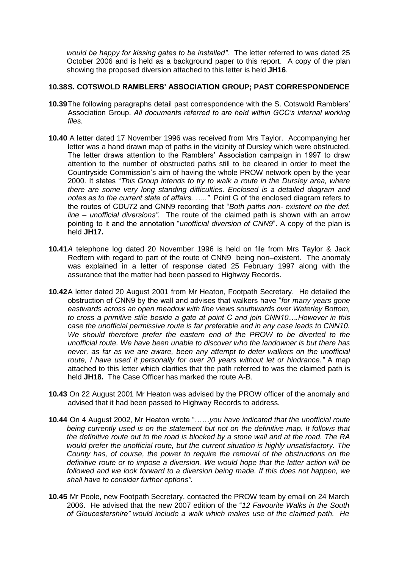*would be happy for kissing gates to be installed".* The letter referred to was dated 25 October 2006 and is held as a background paper to this report. A copy of the plan showing the proposed diversion attached to this letter is held **JH16**.

## **10.38S. COTSWOLD RAMBLERS' ASSOCIATION GROUP; PAST CORRESPONDENCE**

- **10.39**The following paragraphs detail past correspondence with the S. Cotswold Ramblers' Association Group. *All documents referred to are held within GCC's internal working files.*
- **10.40** A letter dated 17 November 1996 was received from Mrs Taylor. Accompanying her letter was a hand drawn map of paths in the vicinity of Dursley which were obstructed. The letter draws attention to the Ramblers' Association campaign in 1997 to draw attention to the number of obstructed paths still to be cleared in order to meet the Countryside Commission's aim of having the whole PROW network open by the year 2000. It states "*This Group intends to try to walk a route in the Dursley area, where there are some very long standing difficulties. Enclosed is a detailed diagram and notes as to the current state of affairs. ….."* Point G of the enclosed diagram refers to the routes of CDU72 and CNN9 recording that "*Both paths non- existent on the def. line – unofficial diversions".* The route of the claimed path is shown with an arrow pointing to it and the annotation "*unofficial diversion of CNN9*". A copy of the plan is held **JH17.**
- **10.41***A* telephone log dated 20 November 1996 is held on file from Mrs Taylor & Jack Redfern with regard to part of the route of CNN9 being non–existent. The anomaly was explained in a letter of response dated 25 February 1997 along with the assurance that the matter had been passed to Highway Records.
- **10.42**A letter dated 20 August 2001 from Mr Heaton, Footpath Secretary. He detailed the obstruction of CNN9 by the wall and advises that walkers have "*for many years gone eastwards across an open meadow with fine views southwards over Waterley Bottom, to cross a primitive stile beside a gate at point C and join CNN10….However in this case the unofficial permissive route is far preferable and in any case leads to CNN10.*  We should therefore prefer the eastern end of the PROW to be diverted to the *unofficial route. We have been unable to discover who the landowner is but there has never, as far as we are aware, been any attempt to deter walkers on the unofficial route, I have used it personally for over 20 years without let or hindrance."* A map attached to this letter which clarifies that the path referred to was the claimed path is held **JH18.** The Case Officer has marked the route A-B.
- **10.43** On 22 August 2001 Mr Heaton was advised by the PROW officer of the anomaly and advised that it had been passed to Highway Records to address.
- **10.44** On 4 August 2002, Mr Heaton wrote "……*you have indicated that the unofficial route being currently used is on the statement but not on the definitive map. It follows that the definitive route out to the road is blocked by a stone wall and at the road. The RA would prefer the unofficial route, but the current situation is highly unsatisfactory. The County has, of course, the power to require the removal of the obstructions on the definitive route or to impose a diversion. We would hope that the latter action will be followed and we look forward to a diversion being made. If this does not happen, we shall have to consider further options".*
- **10.45** Mr Poole, new Footpath Secretary, contacted the PROW team by email on 24 March 2006. He advised that the new 2007 edition of the "*12 Favourite Walks in the South of Gloucestershire" would include a walk which makes use of the claimed path. He*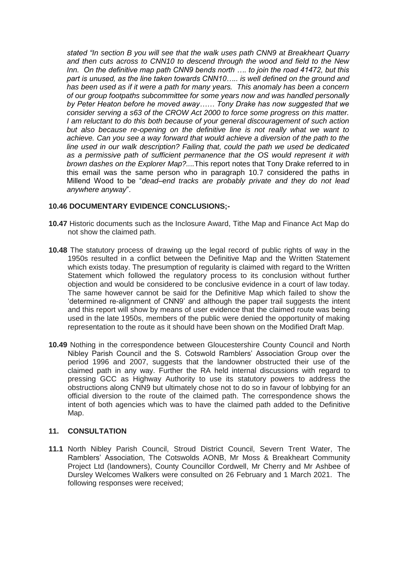*stated "In section B you will see that the walk uses path CNN9 at Breakheart Quarry and then cuts across to CNN10 to descend through the wood and field to the New Inn. On the definitive map path CNN9 bends north …. to join the road 41472, but this part is unused, as the line taken towards CNN10….. is well defined on the ground and has been used as if it were a path for many years. This anomaly has been a concern of our group footpaths subcommittee for some years now and was handled personally by Peter Heaton before he moved away…… Tony Drake has now suggested that we consider serving a s63 of the CROW Act 2000 to force some progress on this matter. I am reluctant to do this both because of your general discouragement of such action but also because re-opening on the definitive line is not really what we want to achieve. Can you see a way forward that would achieve a diversion of the path to the line used in our walk description? Failing that, could the path we used be dedicated as a permissive path of sufficient permanence that the OS would represent it with brown dashes on the Explorer Map?....*This report notes that Tony Drake referred to in this email was the same person who in paragraph 10.7 considered the paths in Millend Wood to be "*dead–end tracks are probably private and they do not lead anywhere anyway*".

#### **10.46 DOCUMENTARY EVIDENCE CONCLUSIONS;-**

- **10.47** Historic documents such as the Inclosure Award, Tithe Map and Finance Act Map do not show the claimed path.
- **10.48** The statutory process of drawing up the legal record of public rights of way in the 1950s resulted in a conflict between the Definitive Map and the Written Statement which exists today. The presumption of regularity is claimed with regard to the Written Statement which followed the regulatory process to its conclusion without further objection and would be considered to be conclusive evidence in a court of law today. The same however cannot be said for the Definitive Map which failed to show the 'determined re-alignment of CNN9' and although the paper trail suggests the intent and this report will show by means of user evidence that the claimed route was being used in the late 1950s, members of the public were denied the opportunity of making representation to the route as it should have been shown on the Modified Draft Map.
- **10.49** Nothing in the correspondence between Gloucestershire County Council and North Nibley Parish Council and the S. Cotswold Ramblers' Association Group over the period 1996 and 2007, suggests that the landowner obstructed their use of the claimed path in any way. Further the RA held internal discussions with regard to pressing GCC as Highway Authority to use its statutory powers to address the obstructions along CNN9 but ultimately chose not to do so in favour of lobbying for an official diversion to the route of the claimed path. The correspondence shows the intent of both agencies which was to have the claimed path added to the Definitive Map.

#### **11. CONSULTATION**

**11.1** North Nibley Parish Council, Stroud District Council, Severn Trent Water, The Ramblers' Association, The Cotswolds AONB, Mr Moss & Breakheart Community Project Ltd (landowners), County Councillor Cordwell, Mr Cherry and Mr Ashbee of Dursley Welcomes Walkers were consulted on 26 February and 1 March 2021. The following responses were received;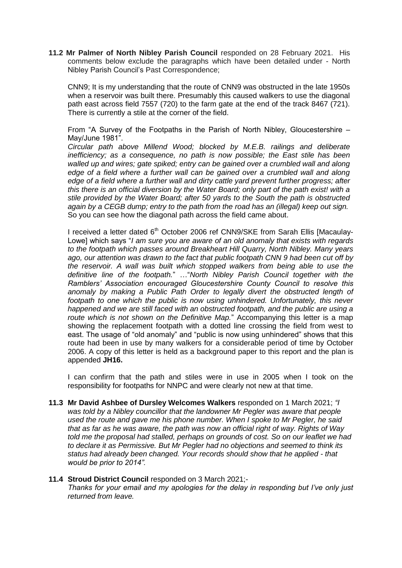**11.2 Mr Palmer of North Nibley Parish Council** responded on 28 February 2021. His comments below exclude the paragraphs which have been detailed under - North Nibley Parish Council's Past Correspondence;

CNN9; It is my understanding that the route of CNN9 was obstructed in the late 1950s when a reservoir was built there. Presumably this caused walkers to use the diagonal path east across field 7557 (720) to the farm gate at the end of the track 8467 (721). There is currently a stile at the corner of the field.

From "A Survey of the Footpaths in the Parish of North Nibley, Gloucestershire – May/June 1981".

*Circular path above Millend Wood; blocked by M.E.B. railings and deliberate inefficiency; as a consequence, no path is now possible; the East stile has been*  walled up and wires; gate spiked; entry can be gained over a crumbled wall and along edge of a field where a further wall can be gained over a crumbled wall and along *edge of a field where a further wall and dirty cattle yard prevent further progress; after this there is an official diversion by the Water Board; only part of the path exist! with a stile provided by the Water Board; after 50 yards to the South the path is obstructed again by a CEGB dump; entry to the path from the road has an (illegal) keep out sign.* So you can see how the diagonal path across the field came about.

I received a letter dated  $6<sup>th</sup>$  October 2006 ref CNN9/SKE from Sarah Ellis [Macaulay-Lowe] which says "*I am sure you are aware of an old anomaly that exists with regards to the footpath which passes around Breakheart Hill Quarry, North Nibley. Many years ago, our attention was drawn to the fact that public footpath CNN 9 had been cut off by the reservoir. A wall was built which stopped walkers from being able to use the definitive line of the footpath.*" …"*North Nibley Parish Council together with the Ramblers' Association encouraged Gloucestershire County Council to resolve this anomaly by making a Public Path Order to legally divert the obstructed length of* footpath to one which the public is now using unhindered. Unfortunately, this never *happened and we are still faced with an obstructed footpath, and the public are using a route which is not shown on the Definitive Map.*" Accompanying this letter is a map showing the replacement footpath with a dotted line crossing the field from west to east. The usage of "old anomaly" and "public is now using unhindered" shows that this route had been in use by many walkers for a considerable period of time by October 2006. A copy of this letter is held as a background paper to this report and the plan is appended **JH16.**

I can confirm that the path and stiles were in use in 2005 when I took on the responsibility for footpaths for NNPC and were clearly not new at that time.

**11.3 Mr David Ashbee of Dursley Welcomes Walkers** responded on 1 March 2021; *"I*  was told by a Nibley councillor that the landowner Mr Pegler was aware that people *used the route and gave me his phone number. When I spoke to Mr Pegler, he said that as far as he was aware, the path was now an official right of way. Rights of Way told me the proposal had stalled, perhaps on grounds of cost. So on our leaflet we had to declare it as Permissive. But Mr Pegler had no objections and seemed to think its status had already been changed. Your records should show that he applied - that would be prior to 2014".*

#### **11.4 Stroud District Council** responded on 3 March 2021;-

*Thanks for your email and my apologies for the delay in responding but I've only just returned from leave.*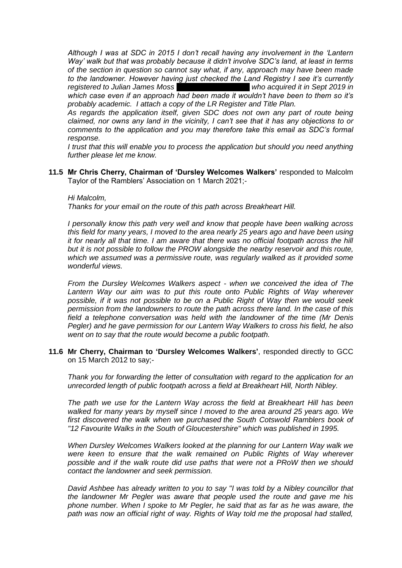*Although I was at SDC in 2015 I don't recall having any involvement in the 'Lantern Way' walk but that was probably because it didn't involve SDC's land, at least in terms of the section in question so cannot say what, if any, approach may have been made to the landowner. However having just checked the Land Registry I see it's currently registered to Julian James Moss who acquired it in Sept 2019 in*  $\frac{1}{2}$ *which case even if an approach had been made it wouldn't have been to them so it's* 

*probably academic. I attach a copy of the LR Register and Title Plan. As regards the application itself, given SDC does not own any part of route being claimed, nor owns any land in the vicinity, I can't see that it has any objections to or* 

*comments to the application and you may therefore take this email as SDC's formal response.*

*I trust that this will enable you to process the application but should you need anything further please let me know.*

**11.5 Mr Chris Cherry, Chairman of 'Dursley Welcomes Walkers'** responded to Malcolm Taylor of the Ramblers' Association on 1 March 2021;-

*Hi Malcolm,*

*Thanks for your email on the route of this path across Breakheart Hill.*

*I personally know this path very well and know that people have been walking across this field for many years, I moved to the area nearly 25 years ago and have been using it for nearly all that time. I am aware that there was no official footpath across the hill but it is not possible to follow the PROW alongside the nearby reservoir and this route, which we assumed was a permissive route, was regularly walked as it provided some wonderful views.*

*From the Dursley Welcomes Walkers aspect - when we conceived the idea of The Lantern Way our aim was to put this route onto Public Rights of Way wherever possible, if it was not possible to be on a Public Right of Way then we would seek permission from the landowners to route the path across there land. In the case of this field a telephone conversation was held with the landowner of the time (Mr Denis Pegler) and he gave permission for our Lantern Way Walkers to cross his field, he also went on to say that the route would become a public footpath.*

**11.6 Mr Cherry, Chairman to 'Dursley Welcomes Walkers'**, responded directly to GCC on 15 March 2012 to say;-

*Thank you for forwarding the letter of consultation with regard to the application for an unrecorded length of public footpath across a field at Breakheart Hill, North Nibley.*

*The path we use for the Lantern Way across the field at Breakheart Hill has been walked for many years by myself since I moved to the area around 25 years ago. We first discovered the walk when we purchased the South Cotswold Ramblers book of "12 Favourite Walks in the South of Gloucestershire" which was published in 1995.*

*When Dursley Welcomes Walkers looked at the planning for our Lantern Way walk we were keen to ensure that the walk remained on Public Rights of Way wherever possible and if the walk route did use paths that were not a PRoW then we should contact the landowner and seek permission.*

*David Ashbee has already written to you to say "I was told by a Nibley councillor that the landowner Mr Pegler was aware that people used the route and gave me his phone number. When I spoke to Mr Pegler, he said that as far as he was aware, the*  path was now an official right of way. Rights of Way told me the proposal had stalled,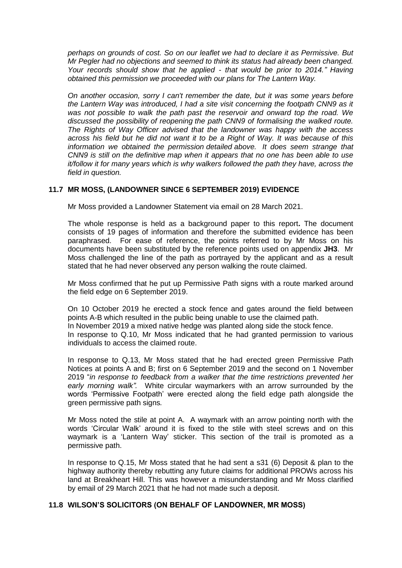*perhaps on grounds of cost. So on our leaflet we had to declare it as Permissive. But Mr Pegler had no objections and seemed to think its status had already been changed. Your records should show that he applied - that would be prior to 2014." Having obtained this permission we proceeded with our plans for The Lantern Way.*

*On another occasion, sorry I can't remember the date, but it was some years before the Lantern Way was introduced, I had a site visit concerning the footpath CNN9 as it was not possible to walk the path past the reservoir and onward top the road. We discussed the possibility of reopening the path CNN9 of formalising the walked route. The Rights of Way Officer advised that the landowner was happy with the access across his field but he did not want it to be a Right of Way. It was because of this information we obtained the permission detailed above. It does seem strange that CNN9 is still on the definitive map when it appears that no one has been able to use it/follow it for many years which is why walkers followed the path they have, across the field in question.*

## **11.7 MR MOSS, (LANDOWNER SINCE 6 SEPTEMBER 2019) EVIDENCE**

Mr Moss provided a Landowner Statement via email on 28 March 2021.

The whole response is held as a background paper to this report**.** The document consists of 19 pages of information and therefore the submitted evidence has been paraphrased. For ease of reference, the points referred to by Mr Moss on his documents have been substituted by the reference points used on appendix **JH3**. Mr Moss challenged the line of the path as portrayed by the applicant and as a result stated that he had never observed any person walking the route claimed.

Mr Moss confirmed that he put up Permissive Path signs with a route marked around the field edge on 6 September 2019.

On 10 October 2019 he erected a stock fence and gates around the field between points A-B which resulted in the public being unable to use the claimed path. In November 2019 a mixed native hedge was planted along side the stock fence. In response to Q.10, Mr Moss indicated that he had granted permission to various individuals to access the claimed route.

In response to Q.13, Mr Moss stated that he had erected green Permissive Path Notices at points A and B; first on 6 September 2019 and the second on 1 November 2019 "*in response to feedback from a walker that the time restrictions prevented her early morning walk".* White circular waymarkers with an arrow surrounded by the words 'Permissive Footpath' were erected along the field edge path alongside the green permissive path signs*.* 

Mr Moss noted the stile at point A. A waymark with an arrow pointing north with the words 'Circular Walk' around it is fixed to the stile with steel screws and on this waymark is a 'Lantern Way' sticker. This section of the trail is promoted as a permissive path.

In response to Q.15, Mr Moss stated that he had sent a s31 (6) Deposit & plan to the highway authority thereby rebutting any future claims for additional PROWs across his land at Breakheart Hill. This was however a misunderstanding and Mr Moss clarified by email of 29 March 2021 that he had not made such a deposit.

#### **11.8 WILSON'S SOLICITORS (ON BEHALF OF LANDOWNER, MR MOSS)**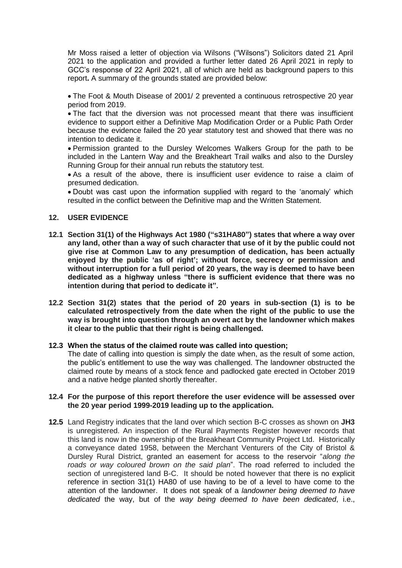Mr Moss raised a letter of objection via Wilsons ("Wilsons") Solicitors dated 21 April 2021 to the application and provided a further letter dated 26 April 2021 in reply to GCC's response of 22 April 2021, all of which are held as background papers to this report**.** A summary of the grounds stated are provided below:

 The Foot & Mouth Disease of 2001/ 2 prevented a continuous retrospective 20 year period from 2019.

 The fact that the diversion was not processed meant that there was insufficient evidence to support either a Definitive Map Modification Order or a Public Path Order because the evidence failed the 20 year statutory test and showed that there was no intention to dedicate it.

 Permission granted to the Dursley Welcomes Walkers Group for the path to be included in the Lantern Way and the Breakheart Trail walks and also to the Dursley Running Group for their annual run rebuts the statutory test.

 As a result of the above, there is insufficient user evidence to raise a claim of presumed dedication.

 Doubt was cast upon the information supplied with regard to the 'anomaly' which resulted in the conflict between the Definitive map and the Written Statement.

## **12. USER EVIDENCE**

- **12.1 Section 31(1) of the Highways Act 1980 ("s31HA80") states that where a way over any land, other than a way of such character that use of it by the public could not give rise at Common Law to any presumption of dedication, has been actually enjoyed by the public 'as of right'; without force, secrecy or permission and without interruption for a full period of 20 years, the way is deemed to have been dedicated as a highway unless "there is sufficient evidence that there was no intention during that period to dedicate it".**
- **12.2 Section 31(2) states that the period of 20 years in sub-section (1) is to be calculated retrospectively from the date when the right of the public to use the way is brought into question through an overt act by the landowner which makes it clear to the public that their right is being challenged.**

#### **12.3 When the status of the claimed route was called into question;**

The date of calling into question is simply the date when, as the result of some action, the public's entitlement to use the way was challenged. The landowner obstructed the claimed route by means of a stock fence and padlocked gate erected in October 2019 and a native hedge planted shortly thereafter.

#### **12.4 For the purpose of this report therefore the user evidence will be assessed over the 20 year period 1999-2019 leading up to the application.**

**12.5** Land Registry indicates that the land over which section B-C crosses as shown on **JH3** is unregistered. An inspection of the Rural Payments Register however records that this land is now in the ownership of the Breakheart Community Project Ltd. Historically a conveyance dated 1958, between the Merchant Venturers of the City of Bristol & Dursley Rural District, granted an easement for access to the reservoir "*along the roads or way coloured brown on the said plan*". The road referred to included the section of unregistered land B-C. It should be noted however that there is no explicit reference in section 31(1) HA80 of use having to be of a level to have come to the attention of the landowner. It does not speak of a *landowner being deemed to have dedicated* the way, but of the *way being deemed to have been dedicated*, i.e.,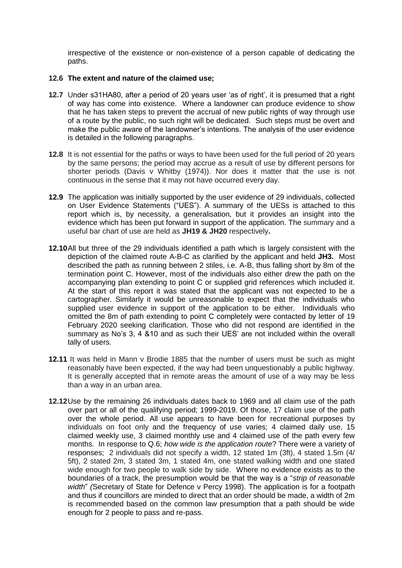irrespective of the existence or non-existence of a person capable of dedicating the paths.

#### **12.6 The extent and nature of the claimed use;**

- **12.7** Under s31HA80, after a period of 20 years user 'as of right', it is presumed that a right of way has come into existence. Where a landowner can produce evidence to show that he has taken steps to prevent the accrual of new public rights of way through use of a route by the public, no such right will be dedicated. Such steps must be overt and make the public aware of the landowner's intentions. The analysis of the user evidence is detailed in the following paragraphs.
- **12.8** It is not essential for the paths or ways to have been used for the full period of 20 years by the same persons; the period may accrue as a result of use by different persons for shorter periods (Davis v Whitby (1974)). Nor does it matter that the use is not continuous in the sense that it may not have occurred every day.
- **12.9** The application was initially supported by the user evidence of 29 individuals, collected on User Evidence Statements ("UES"). A summary of the UESs is attached to this report which is, by necessity, a generalisation, but it provides an insight into the evidence which has been put forward in support of the application. The summary and a useful bar chart of use are held as **JH19 & JH20** respectively**.**
- **12.10**All but three of the 29 individuals identified a path which is largely consistent with the depiction of the claimed route A-B-C as clarified by the applicant and held **JH3.** Most described the path as running between 2 stiles, i.e. A-B, thus falling short by 8m of the termination point C. However, most of the individuals also either drew the path on the accompanying plan extending to point C or supplied grid references which included it. At the start of this report it was stated that the applicant was not expected to be a cartographer. Similarly it would be unreasonable to expect that the individuals who supplied user evidence in support of the application to be either. Individuals who omitted the 8m of path extending to point C completely were contacted by letter of 19 February 2020 seeking clarification. Those who did not respond are identified in the summary as No's 3, 4 &10 and as such their UES' are not included within the overall tally of users.
- **12.11** It was held in Mann v Brodie 1885 that the number of users must be such as might reasonably have been expected, if the way had been unquestionably a public highway. It is generally accepted that in remote areas the amount of use of a way may be less than a way in an urban area.
- **12.12**Use by the remaining 26 individuals dates back to 1969 and all claim use of the path over part or all of the qualifying period; 1999-2019. Of those, 17 claim use of the path over the whole period. All use appears to have been for recreational purposes by individuals on foot only and the frequency of use varies; 4 claimed daily use, 15 claimed weekly use, 3 claimed monthly use and 4 claimed use of the path every few months. In response to Q.6; *how wide is the application route*? There were a variety of responses; 2 individuals did not specify a width, 12 stated 1m (3ft), 4 stated 1.5m (4/ 5ft), 2 stated 2m, 3 stated 3m, 1 stated 4m, one stated walking width and one stated wide enough for two people to walk side by side. Where no evidence exists as to the boundaries of a track, the presumption would be that the way is a "*strip of reasonable width*" *(*Secretary of State for Defence v Percy 1998). The application is for a footpath and thus if councillors are minded to direct that an order should be made, a width of 2m is recommended based on the common law presumption that a path should be wide enough for 2 people to pass and re-pass.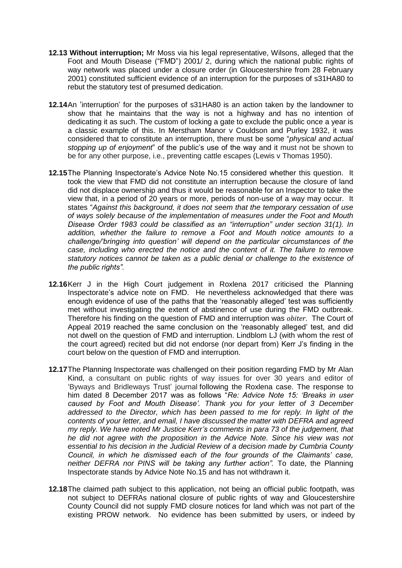- **12.13 Without interruption;** Mr Moss via his legal representative, Wilsons, alleged that the Foot and Mouth Disease ("FMD") 2001/ 2, during which the national public rights of way network was placed under a closure order (in Gloucestershire from 28 February 2001) constituted sufficient evidence of an interruption for the purposes of s31HA80 to rebut the statutory test of presumed dedication.
- **12.14**An 'interruption' for the purposes of s31HA80 is an action taken by the landowner to show that he maintains that the way is not a highway and has no intention of dedicating it as such. The custom of locking a gate to exclude the public once a year is a classic example of this. In Merstham Manor v Couldson and Purley 1932, it was considered that to constitute an interruption, there must be some "*physical and actual stopping up of enjoyment*" of the public's use of the way and it must not be shown to be for any other purpose, i.e., preventing cattle escapes (Lewis v Thomas 1950).
- **12.15**The Planning Inspectorate's Advice Note No.15 considered whether this question. It took the view that FMD did not constitute an interruption because the closure of land did not displace ownership and thus it would be reasonable for an Inspector to take the view that, in a period of 20 years or more, periods of non-use of a way may occur. It states "*Against this background, it does not seem that the temporary cessation of use of ways solely because of the implementation of measures under the Foot and Mouth Disease Order 1983 could be classified as an "interruption" under section 31(1). In addition, whether the failure to remove a Foot and Mouth notice amounts to a challenge/'bringing into question' will depend on the particular circumstances of the case, including who erected the notice and the content of it. The failure to remove statutory notices cannot be taken as a public denial or challenge to the existence of the public rights".*
- **12.16**Kerr J in the High Court judgement in Roxlena 2017 criticised the Planning Inspectorate's advice note on FMD. He nevertheless acknowledged that there was enough evidence of use of the paths that the 'reasonably alleged' test was sufficiently met without investigating the extent of abstinence of use during the FMD outbreak. Therefore his finding on the question of FMD and interruption was *obiter*. The Court of Appeal 2019 reached the same conclusion on the 'reasonably alleged' test, and did not dwell on the question of FMD and interruption. Lindblom LJ (with whom the rest of the court agreed) recited but did not endorse (nor depart from) Kerr J's finding in the court below on the question of FMD and interruption.
- **12.17**The Planning Inspectorate was challenged on their position regarding FMD by Mr Alan Kind, a consultant on public rights of way issues for over 30 years and editor of 'Byways and Bridleways Trust' journal following the Roxlena case. The response to him dated 8 December 2017 was as follows "*Re: Advice Note 15: 'Breaks in user caused by Foot and Mouth Disease'. Thank you for your letter of 3 December addressed to the Director, which has been passed to me for reply. In light of the contents of your letter, and email, I have discussed the matter with DEFRA and agreed my reply. We have noted Mr Justice Kerr's comments in para 73 of the judgement, that he did not agree with the proposition in the Advice Note. Since his view was not essential to his decision in the Judicial Review of a decision made by Cumbria County Council, in which he dismissed each of the four grounds of the Claimants' case, neither DEFRA nor PINS will be taking any further action".* To date, the Planning Inspectorate stands by Advice Note No.15 and has not withdrawn it.
- **12.18**The claimed path subject to this application, not being an official public footpath, was not subject to DEFRAs national closure of public rights of way and Gloucestershire County Council did not supply FMD closure notices for land which was not part of the existing PROW network. No evidence has been submitted by users, or indeed by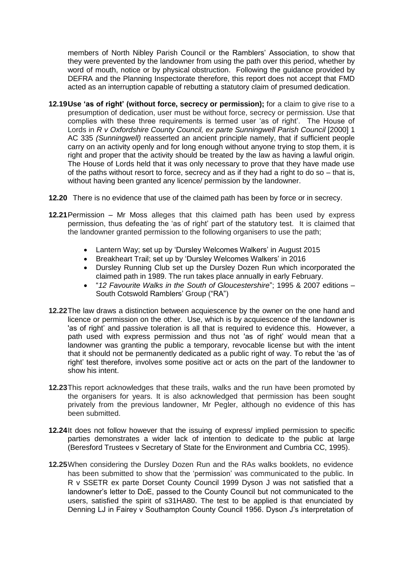members of North Nibley Parish Council or the Ramblers' Association, to show that they were prevented by the landowner from using the path over this period, whether by word of mouth, notice or by physical obstruction. Following the guidance provided by DEFRA and the Planning Inspectorate therefore, this report does not accept that FMD acted as an interruption capable of rebutting a statutory claim of presumed dedication.

- **12.19Use 'as of right' (without force, secrecy or permission);** for a claim to give rise to a presumption of dedication, user must be without force, secrecy or permission. Use that complies with these three requirements is termed user 'as of right'. The House of Lords in *R v Oxfordshire County Council, ex parte Sunningwell Parish Council* [2000] 1 AC 335 *(Sunningwell)* reasserted an ancient principle namely, that if sufficient people carry on an activity openly and for long enough without anyone trying to stop them, it is right and proper that the activity should be treated by the law as having a lawful origin. The House of Lords held that it was only necessary to prove that they have made use of the paths without resort to force, secrecy and as if they had a right to do so – that is, without having been granted any licence/ permission by the landowner.
- **12.20** There is no evidence that use of the claimed path has been by force or in secrecy.
- **12.21**Permission Mr Moss alleges that this claimed path has been used by express permission, thus defeating the 'as of right' part of the statutory test. It is claimed that the landowner granted permission to the following organisers to use the path;
	- Lantern Way; set up by 'Dursley Welcomes Walkers' in August 2015
	- Breakheart Trail; set up by 'Dursley Welcomes Walkers' in 2016
	- Dursley Running Club set up the Dursley Dozen Run which incorporated the claimed path in 1989. The run takes place annually in early February.
	- "*12 Favourite Walks in the South of Gloucestershire*"; 1995 & 2007 editions South Cotswold Ramblers' Group ("RA")
- **12.22**The law draws a distinction between acquiescence by the owner on the one hand and licence or permission on the other. Use, which is by acquiescence of the landowner is 'as of right' and passive toleration is all that is required to evidence this. However, a path used with express permission and thus not 'as of right' would mean that a landowner was granting the public a temporary, revocable license but with the intent that it should not be permanently dedicated as a public right of way. To rebut the 'as of right' test therefore, involves some positive act or acts on the part of the landowner to show his intent.
- **12.23**This report acknowledges that these trails, walks and the run have been promoted by the organisers for years. It is also acknowledged that permission has been sought privately from the previous landowner, Mr Pegler, although no evidence of this has been submitted.
- **12.24**It does not follow however that the issuing of express/ implied permission to specific parties demonstrates a wider lack of intention to dedicate to the public at large (Beresford Trustees v Secretary of State for the Environment and Cumbria CC, 1995).
- **12.25**When considering the Dursley Dozen Run and the RAs walks booklets, no evidence has been submitted to show that the 'permission' was communicated to the public. In R v SSETR ex parte Dorset County Council 1999 Dyson J was not satisfied that a landowner's letter to DoE, passed to the County Council but not communicated to the users, satisfied the spirit of s31HA80. The test to be applied is that enunciated by Denning LJ in Fairey v Southampton County Council 1956. Dyson J's interpretation of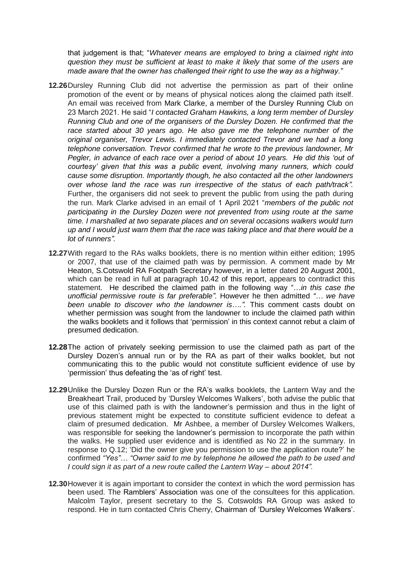that judgement is that; "*Whatever means are employed to bring a claimed right into question they must be sufficient at least to make it likely that some of the users are made aware that the owner has challenged their right to use the way as a highway."* 

- **12.26**Dursley Running Club did not advertise the permission as part of their online promotion of the event or by means of physical notices along the claimed path itself. An email was received from Mark Clarke, a member of the Dursley Running Club on 23 March 2021. He said "*I contacted Graham Hawkins, a long term member of Dursley Running Club and one of the organisers of the Dursley Dozen. He confirmed that the race started about 30 years ago. He also gave me the telephone number of the original organiser, Trevor Lewis. I immediately contacted Trevor and we had a long telephone conversation. Trevor confirmed that he wrote to the previous landowner, Mr Pegler, in advance of each race over a period of about 10 years. He did this 'out of courtesy' given that this was a public event, involving many runners, which could cause some disruption. Importantly though, he also contacted all the other landowners over whose land the race was run irrespective of the status of each path/track".*  Further, the organisers did not seek to prevent the public from using the path during the run. Mark Clarke advised in an email of 1 April 2021 "*members of the public not participating in the Dursley Dozen were not prevented from using route at the same time. I marshalled at two separate places and on several occasions walkers would turn up and I would just warn them that the race was taking place and that there would be a lot of runners".*
- **12.27**With regard to the RAs walks booklets, there is no mention within either edition; 1995 or 2007, that use of the claimed path was by permission. A comment made by Mr Heaton, S.Cotswold RA Footpath Secretary however, in a letter dated 20 August 2001, which can be read in full at paragraph 10.42 of this report, appears to contradict this statement. He described the claimed path in the following way "…*in this case the unofficial permissive route is far preferable".* However he then admitted *"… we have been unable to discover who the landowner is….".* This comment casts doubt on whether permission was sought from the landowner to include the claimed path within the walks booklets and it follows that 'permission' in this context cannot rebut a claim of presumed dedication.
- **12.28**The action of privately seeking permission to use the claimed path as part of the Dursley Dozen's annual run or by the RA as part of their walks booklet, but not communicating this to the public would not constitute sufficient evidence of use by 'permission' thus defeating the 'as of right' test.
- **12.29**Unlike the Dursley Dozen Run or the RA's walks booklets, the Lantern Way and the Breakheart Trail, produced by 'Dursley Welcomes Walkers', both advise the public that use of this claimed path is with the landowner's permission and thus in the light of previous statement might be expected to constitute sufficient evidence to defeat a claim of presumed dedication. Mr Ashbee, a member of Dursley Welcomes Walkers, was responsible for seeking the landowner's permission to incorporate the path within the walks. He supplied user evidence and is identified as No 22 in the summary. In response to Q.12; 'Did the owner give you permission to use the application route?' he confirmed *"Yes"… "Owner said to me by telephone he allowed the path to be used and I could sign it as part of a new route called the Lantern Way – about 2014".*
- **12.30**However it is again important to consider the context in which the word permission has been used. The Ramblers' Association was one of the consultees for this application. Malcolm Taylor, present secretary to the S. Cotswolds RA Group was asked to respond. He in turn contacted Chris Cherry, Chairman of 'Dursley Welcomes Walkers'.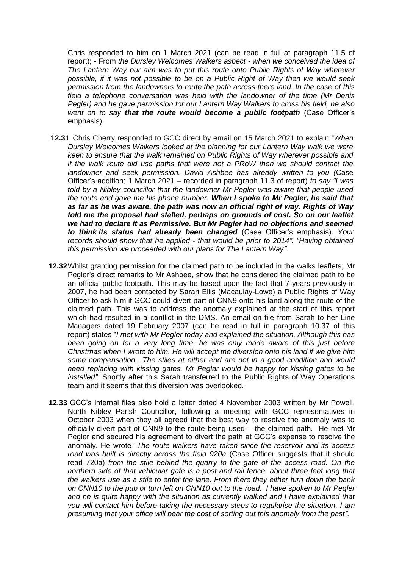Chris responded to him on 1 March 2021 (can be read in full at paragraph 11.5 of report); - From *the Dursley Welcomes Walkers aspect - when we conceived the idea of The Lantern Way our aim was to put this route onto Public Rights of Way wherever possible, if it was not possible to be on a Public Right of Way then we would seek permission from the landowners to route the path across there land. In the case of this field a telephone conversation was held with the landowner of the time (Mr Denis Pegler) and he gave permission for our Lantern Way Walkers to cross his field, he also went on to say that the route would become a public footpath* (Case Officer's emphasis).

- **12.31** Chris Cherry responded to GCC direct by email on 15 March 2021 to explain "*When Dursley Welcomes Walkers looked at the planning for our Lantern Way walk we were keen to ensure that the walk remained on Public Rights of Way wherever possible and if the walk route did use paths that were not a PRoW then we should contact the landowner and seek permission. David Ashbee has already written to you (*Case Officer's addition; 1 March 2021 – recorded in paragraph 11.3 of report) *to say "I was told by a Nibley councillor that the landowner Mr Pegler was aware that people used the route and gave me his phone number. When I spoke to Mr Pegler, he said that as far as he was aware, the path was now an official right of way. Rights of Way told me the proposal had stalled, perhaps on grounds of cost. So on our leaflet we had to declare it as Permissive. But Mr Pegler had no objections and seemed to think its status had already been changed* (Case Officer's emphasis). *Your records should show that he applied - that would be prior to 2014". "Having obtained this permission we proceeded with our plans for The Lantern Way".*
- **12.32**Whilst granting permission for the claimed path to be included in the walks leaflets, Mr Pegler's direct remarks to Mr Ashbee, show that he considered the claimed path to be an official public footpath. This may be based upon the fact that 7 years previously in 2007, he had been contacted by Sarah Ellis (Macaulay-Lowe) a Public Rights of Way Officer to ask him if GCC could divert part of CNN9 onto his land along the route of the claimed path. This was to address the anomaly explained at the start of this report which had resulted in a conflict in the DMS. An email on file from Sarah to her Line Managers dated 19 February 2007 (can be read in full in paragraph 10.37 of this report) states "*I met with Mr Pegler today and explained the situation. Although this has been going on for a very long time, he was only made aware of this just before Christmas when I wrote to him. He will accept the diversion onto his land if we give him some compensation…The stiles at either end are not in a good condition and would need replacing with kissing gates. Mr Peglar would be happy for kissing gates to be installed".* Shortly after this Sarah transferred to the Public Rights of Way Operations team and it seems that this diversion was overlooked.
- **12.33** GCC's internal files also hold a letter dated 4 November 2003 written by Mr Powell, North Nibley Parish Councillor, following a meeting with GCC representatives in October 2003 when they all agreed that the best way to resolve the anomaly was to officially divert part of CNN9 to the route being used – the claimed path. He met Mr Pegler and secured his agreement to divert the path at GCC's expense to resolve the anomaly. He wrote "*The route walkers have taken since the reservoir and its access road was built is directly across the field 920a* (Case Officer suggests that it should read 720a) *from the stile behind the quarry to the gate of the access road. On the northern side of that vehicular gate is a post and rail fence, about three feet long that the walkers use as a stile to enter the lane. From there they either turn down the bank on CNN10 to the pub or turn left on CNN10 out to the road. I have spoken to Mr Pegler and he is quite happy with the situation as currently walked and I have explained that you will contact him before taking the necessary steps to regularise the situation. I am presuming that your office will bear the cost of sorting out this anomaly from the past".*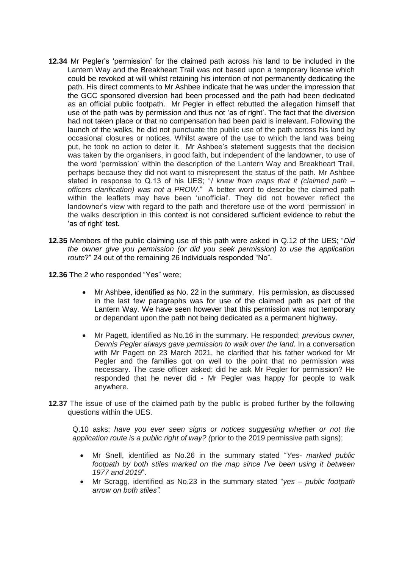- **12.34** Mr Pegler's 'permission' for the claimed path across his land to be included in the Lantern Way and the Breakheart Trail was not based upon a temporary license which could be revoked at will whilst retaining his intention of not permanently dedicating the path. His direct comments to Mr Ashbee indicate that he was under the impression that the GCC sponsored diversion had been processed and the path had been dedicated as an official public footpath. Mr Pegler in effect rebutted the allegation himself that use of the path was by permission and thus not 'as of right'. The fact that the diversion had not taken place or that no compensation had been paid is irrelevant. Following the launch of the walks, he did not punctuate the public use of the path across his land by occasional closures or notices. Whilst aware of the use to which the land was being put, he took no action to deter it. Mr Ashbee's statement suggests that the decision was taken by the organisers, in good faith, but independent of the landowner, to use of the word 'permission' within the description of the Lantern Way and Breakheart Trail, perhaps because they did not want to misrepresent the status of the path. Mr Ashbee stated in response to Q.13 of his UES; "*I knew from maps that it (claimed path – officers clarification) was not a PROW.*" A better word to describe the claimed path within the leaflets may have been 'unofficial'. They did not however reflect the landowner's view with regard to the path and therefore use of the word 'permission' in the walks description in this context is not considered sufficient evidence to rebut the 'as of right' test.
- **12.35** Members of the public claiming use of this path were asked in Q.12 of the UES; "*Did the owner give you permission (or did you seek permission) to use the application route*?" 24 out of the remaining 26 individuals responded "No".
- **12.36** The 2 who responded "Yes" were;
	- Mr Ashbee, identified as No. 22 in the summary. His permission, as discussed in the last few paragraphs was for use of the claimed path as part of the Lantern Way. We have seen however that this permission was not temporary or dependant upon the path not being dedicated as a permanent highway.
	- Mr Pagett, identified as No.16 in the summary. He responded; *previous owner, Dennis Pegler always gave permission to walk over the land.* In a conversation with Mr Pagett on 23 March 2021, he clarified that his father worked for Mr Pegler and the families got on well to the point that no permission was necessary. The case officer asked; did he ask Mr Pegler for permission? He responded that he never did - Mr Pegler was happy for people to walk anywhere.
- **12.37** The issue of use of the claimed path by the public is probed further by the following questions within the UES.

Q.10 asks; *have you ever seen signs or notices suggesting whether or not the application route is a public right of way? (*prior to the 2019 permissive path signs);

- Mr Snell, identified as No.26 in the summary stated "*Yes- marked public footpath by both stiles marked on the map since I've been using it between 1977 and 2019*".
- Mr Scragg, identified as No.23 in the summary stated "*yes – public footpath arrow on both stiles".*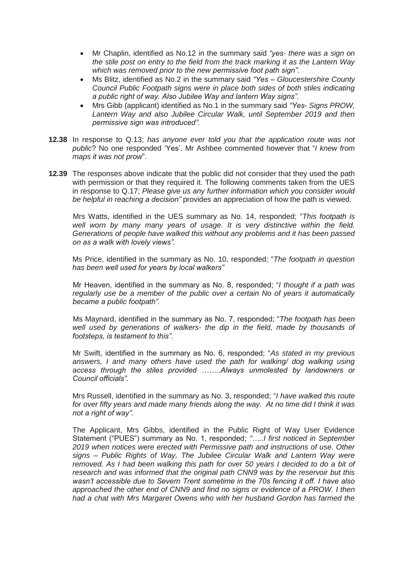- Mr Chaplin, identified as No.12 in the summary said *"yes- there was a sign on the stile post on entry to the field from the track marking it as the Lantern Way which was removed prior to the new permissive foot path sign".*
- Ms Blitz, identified as No.2 in the summary said *"Yes – Gloucestershire County Council Public Footpath signs were in place both sides of both stiles indicating a public right of way. Also Jubilee Way and lantern Way signs".*
- Mrs Gibb (applicant) identified as No.1 in the summary said *"Yes- Signs PROW, Lantern Way and also Jubilee Circular Walk, until September 2019 and then permissive sign was introduced".*
- **12.38** In response to Q.13; *has anyone ever told you that the application route was not public*? No one responded 'Yes'. Mr Ashbee commented however that "*I knew from maps it was not prow*".
- **12.39** The responses above indicate that the public did not consider that they used the path with permission or that they required it. The following comments taken from the UES in response to Q.17; *Please give us any further information which you consider would be helpful in reaching a decision"* provides an appreciation of how the path is viewed.

Mrs Watts, identified in the UES summary as No. 14, responded; "*This footpath is well worn by many many years of usage. It is very distinctive within the field. Generations of people have walked this without any problems and it has been passed on as a walk with lovely views".* 

Ms Price, identified in the summary as No. 10, responded; "*The footpath in question has been well used for years by local walkers"* 

Mr Heaven, identified in the summary as No. 8, responded; "*I thought if a path was regularly use be a member of the public over a certain No of years it automatically became a public footpath".* 

Ms Maynard, identified in the summary as No. 7, responded; "*The footpath has been well used by generations of walkers- the dip in the field, made by thousands of footsteps, is testament to this".* 

Mr Swift, identified in the summary as No. 6, responded; "*As stated in my previous*  answers, I and many others have used the path for walking/ dog walking using *access through the stiles provided ……..Always unmolested by landowners or Council officials".*

Mrs Russell, identified in the summary as No. 3, responded; "*I have walked this route for over fifty years and made many friends along the way. At no time did I think it was not a right of way".* 

The Applicant, Mrs Gibbs, identified in the Public Right of Way User Evidence Statement ("PUES") summary as No. 1, responded; *"…..I first noticed in September 2019 when notices were erected with Permissive path and instructions of use. Other signs – Public Rights of Way, The Jubilee Circular Walk and Lantern Way were removed. As I had been walking this path for over 50 years I decided to do a bit of research and was informed that the original path CNN9 was by the reservoir but this wasn't accessible due to Severn Trent sometime in the 70s fencing it off. I have also approached the other end of CNN9 and find no signs or evidence of a PROW. I then had a chat with Mrs Margaret Owens who with her husband Gordon has farmed the*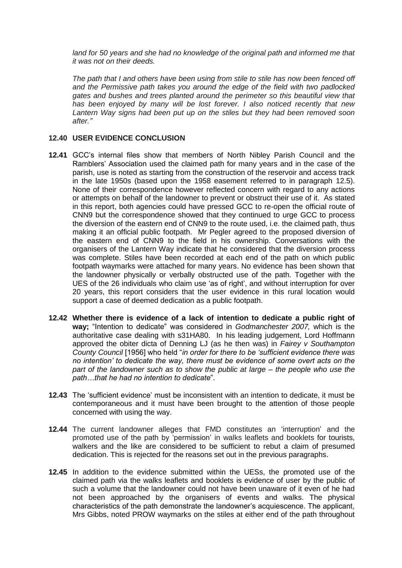land for 50 years and she had no knowledge of the original path and informed me that *it was not on their deeds.* 

*The path that I and others have been using from stile to stile has now been fenced off and the Permissive path takes you around the edge of the field with two padlocked gates and bushes and trees planted around the perimeter so this beautiful view that has been enjoyed by many will be lost forever. I also noticed recently that new Lantern Way signs had been put up on the stiles but they had been removed soon after."* 

#### **12.40 USER EVIDENCE CONCLUSION**

- **12.41** GCC's internal files show that members of North Nibley Parish Council and the Ramblers' Association used the claimed path for many years and in the case of the parish, use is noted as starting from the construction of the reservoir and access track in the late 1950s (based upon the 1958 easement referred to in paragraph 12.5). None of their correspondence however reflected concern with regard to any actions or attempts on behalf of the landowner to prevent or obstruct their use of it. As stated in this report, both agencies could have pressed GCC to re-open the official route of CNN9 but the correspondence showed that they continued to urge GCC to process the diversion of the eastern end of CNN9 to the route used, i.e. the claimed path, thus making it an official public footpath. Mr Pegler agreed to the proposed diversion of the eastern end of CNN9 to the field in his ownership. Conversations with the organisers of the Lantern Way indicate that he considered that the diversion process was complete. Stiles have been recorded at each end of the path on which public footpath waymarks were attached for many years. No evidence has been shown that the landowner physically or verbally obstructed use of the path. Together with the UES of the 26 individuals who claim use 'as of right', and without interruption for over 20 years, this report considers that the user evidence in this rural location would support a case of deemed dedication as a public footpath.
- **12.42 Whether there is evidence of a lack of intention to dedicate a public right of way;** "Intention to dedicate" was considered in *Godmanchester 2007,* which is the authoritative case dealing with s31HA80. In his leading judgement, Lord Hoffmann approved the obiter dicta of Denning LJ (as he then was) in *Fairey v Southampton County Council* [1956] who held "*in order for there to be 'sufficient evidence there was no intention' to dedicate the way, there must be evidence of some overt acts on the part of the landowner such as to show the public at large – the people who use the path…that he had no intention to dedicate*".
- **12.43** The 'sufficient evidence' must be inconsistent with an intention to dedicate, it must be contemporaneous and it must have been brought to the attention of those people concerned with using the way.
- **12.44** The current landowner alleges that FMD constitutes an 'interruption' and the promoted use of the path by 'permission' in walks leaflets and booklets for tourists, walkers and the like are considered to be sufficient to rebut a claim of presumed dedication. This is rejected for the reasons set out in the previous paragraphs.
- **12.45** In addition to the evidence submitted within the UESs, the promoted use of the claimed path via the walks leaflets and booklets is evidence of user by the public of such a volume that the landowner could not have been unaware of it even of he had not been approached by the organisers of events and walks. The physical characteristics of the path demonstrate the landowner's acquiescence. The applicant, Mrs Gibbs, noted PROW waymarks on the stiles at either end of the path throughout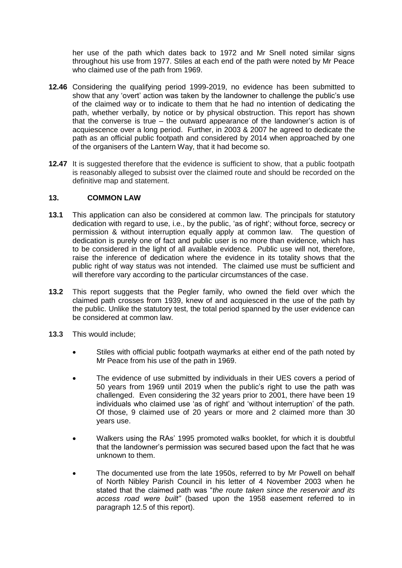her use of the path which dates back to 1972 and Mr Snell noted similar signs throughout his use from 1977. Stiles at each end of the path were noted by Mr Peace who claimed use of the path from 1969.

- **12.46** Considering the qualifying period 1999-2019, no evidence has been submitted to show that any 'overt' action was taken by the landowner to challenge the public's use of the claimed way or to indicate to them that he had no intention of dedicating the path, whether verbally, by notice or by physical obstruction. This report has shown that the converse is true – the outward appearance of the landowner's action is of acquiescence over a long period. Further, in 2003 & 2007 he agreed to dedicate the path as an official public footpath and considered by 2014 when approached by one of the organisers of the Lantern Way, that it had become so.
- **12.47** It is suggested therefore that the evidence is sufficient to show, that a public footpath is reasonably alleged to subsist over the claimed route and should be recorded on the definitive map and statement.

#### **13. COMMON LAW**

- **13.1** This application can also be considered at common law. The principals for statutory dedication with regard to use, i.e., by the public, 'as of right'; without force, secrecy or permission & without interruption equally apply at common law. The question of dedication is purely one of fact and public user is no more than evidence, which has to be considered in the light of all available evidence. Public use will not, therefore, raise the inference of dedication where the evidence in its totality shows that the public right of way status was not intended. The claimed use must be sufficient and will therefore vary according to the particular circumstances of the case.
- **13.2** This report suggests that the Pegler family, who owned the field over which the claimed path crosses from 1939, knew of and acquiesced in the use of the path by the public. Unlike the statutory test, the total period spanned by the user evidence can be considered at common law.
- **13.3** This would include;
	- Stiles with official public footpath waymarks at either end of the path noted by Mr Peace from his use of the path in 1969.
	- The evidence of use submitted by individuals in their UES covers a period of 50 years from 1969 until 2019 when the public's right to use the path was challenged. Even considering the 32 years prior to 2001, there have been 19 individuals who claimed use 'as of right' and 'without interruption' of the path. Of those, 9 claimed use of 20 years or more and 2 claimed more than 30 years use.
	- Walkers using the RAs' 1995 promoted walks booklet, for which it is doubtful that the landowner's permission was secured based upon the fact that he was unknown to them.
	- The documented use from the late 1950s, referred to by Mr Powell on behalf of North Nibley Parish Council in his letter of 4 November 2003 when he stated that the claimed path was "*the route taken since the reservoir and its access road were built"* (based upon the 1958 easement referred to in paragraph 12.5 of this report).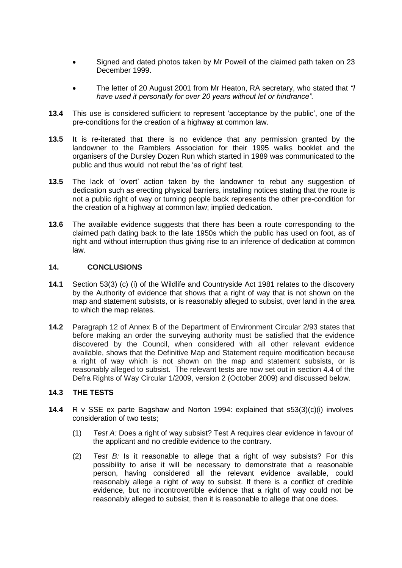- Signed and dated photos taken by Mr Powell of the claimed path taken on 23 December 1999.
- The letter of 20 August 2001 from Mr Heaton, RA secretary, who stated that *"I have used it personally for over 20 years without let or hindrance".*
- **13.4** This use is considered sufficient to represent 'acceptance by the public', one of the pre-conditions for the creation of a highway at common law.
- **13.5** It is re-iterated that there is no evidence that any permission granted by the landowner to the Ramblers Association for their 1995 walks booklet and the organisers of the Dursley Dozen Run which started in 1989 was communicated to the public and thus would not rebut the 'as of right' test.
- **13.5** The lack of 'overt' action taken by the landowner to rebut any suggestion of dedication such as erecting physical barriers, installing notices stating that the route is not a public right of way or turning people back represents the other pre-condition for the creation of a highway at common law; implied dedication.
- **13.6** The available evidence suggests that there has been a route corresponding to the claimed path dating back to the late 1950s which the public has used on foot, as of right and without interruption thus giving rise to an inference of dedication at common law.

#### **14. CONCLUSIONS**

- **14.1** Section 53(3) (c) (i) of the Wildlife and Countryside Act 1981 relates to the discovery by the Authority of evidence that shows that a right of way that is not shown on the map and statement subsists, or is reasonably alleged to subsist, over land in the area to which the map relates.
- **14.2** Paragraph 12 of Annex B of the Department of Environment Circular 2/93 states that before making an order the surveying authority must be satisfied that the evidence discovered by the Council, when considered with all other relevant evidence available, shows that the Definitive Map and Statement require modification because a right of way which is not shown on the map and statement subsists, or is reasonably alleged to subsist. The relevant tests are now set out in section 4.4 of the Defra Rights of Way Circular 1/2009, version 2 (October 2009) and discussed below.

## **14.3 THE TESTS**

- **14.4** R v SSE ex parte Bagshaw and Norton 1994: explained that s53(3)(c)(i) involves consideration of two tests;
	- (1) *Test A:* Does a right of way subsist? Test A requires clear evidence in favour of the applicant and no credible evidence to the contrary.
	- (2) *Test B:* Is it reasonable to allege that a right of way subsists? For this possibility to arise it will be necessary to demonstrate that a reasonable person, having considered all the relevant evidence available, could reasonably allege a right of way to subsist. If there is a conflict of credible evidence, but no incontrovertible evidence that a right of way could not be reasonably alleged to subsist, then it is reasonable to allege that one does.